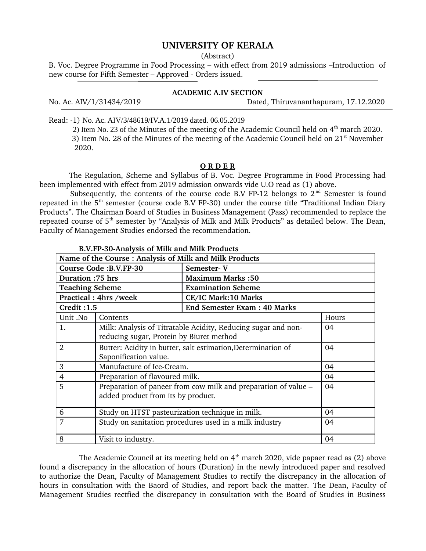## **UNIVERSITY OF KERALA**

(Abstract)

B. Voc. Degree Programme in Food Processing – with effect from 2019 admissions –Introduction of new course for Fifth Semester – Approved - Orders issued.

## **ACADEMIC A.IV SECTION**

No. Ac. AIV/1/31434/2019 Dated, Thiruvananthapuram, 17.12.2020

Read: 1) No. Ac. AIV/3/48619/IV.A.1/2019 dated. 06.05.2019

2) Item No. 23 of the Minutes of the meeting of the Academic Council held on 4<sup>th</sup> march 2020. 3) Item No. 28 of the Minutes of the meeting of the Academic Council held on  $21<sup>st</sup>$  November 2020.

## **O R D E R**

The Regulation, Scheme and Syllabus of B. Voc. Degree Programme in Food Processing had been implemented with effect from 2019 admission onwards vide U.O read as (1) above.

Subsequently, the contents of the course code B.V FP-12 belongs to  $2<sup>nd</sup>$  Semester is found repeated in the  $5<sup>th</sup>$  semester (course code B.V FP-30) under the course title "Traditional Indian Diary Products". The Chairman Board of Studies in Business Management (Pass) recommended to replace the repeated course of  $5<sup>th</sup>$  semester by "Analysis of Milk and Milk Products" as detailed below. The Dean, Faculty of Management Studies endorsed the recommendation.

| Name of the Course: Analysis of Milk and Milk Products |                                                                |                                    |       |
|--------------------------------------------------------|----------------------------------------------------------------|------------------------------------|-------|
| Course Code: B.V.FP-30                                 |                                                                | Semester-V                         |       |
| Duration: 75 hrs                                       |                                                                | <b>Maximum Marks:50</b>            |       |
| <b>Teaching Scheme</b>                                 |                                                                | <b>Examination Scheme</b>          |       |
| Practical: 4hrs /week                                  |                                                                | <b>CE/IC Mark:10 Marks</b>         |       |
| <b>Credit: 1.5</b>                                     |                                                                | <b>End Semester Exam: 40 Marks</b> |       |
| Unit .No                                               | Contents                                                       |                                    | Hours |
| 1.                                                     | Milk: Analysis of Titratable Acidity, Reducing sugar and non-  |                                    | 04    |
|                                                        | reducing sugar, Protein by Biuret method                       |                                    |       |
| 2                                                      | Butter: Acidity in butter, salt estimation, Determination of   |                                    | 04    |
|                                                        | Saponification value.                                          |                                    |       |
| 3                                                      | Manufacture of Ice-Cream.                                      |                                    | 04    |
| $\overline{4}$                                         | Preparation of flavoured milk.                                 |                                    | 04    |
| 5                                                      | Preparation of paneer from cow milk and preparation of value – |                                    | 04    |
|                                                        | added product from its by product.                             |                                    |       |
| 6                                                      | Study on HTST pasteurization technique in milk.                |                                    | 04    |
| 7                                                      | Study on sanitation procedures used in a milk industry         |                                    | 04    |
| 8                                                      | Visit to industry.                                             |                                    | 04    |

**B.V.FP30Analysis of Milk and Milk Products**

The Academic Council at its meeting held on  $4<sup>th</sup>$  march 2020, vide papaer read as (2) above found a discrepancy in the allocation of hours (Duration) in the newly introduced paper and resolved to authorize the Dean, Faculty of Management Studies to rectify the discrepancy in the allocation of hours in consultation with the Baord of Studies, and report back the matter. The Dean, Faculty of Management Studies rectfied the discrepancy in consultation with the Board of Studies in Business